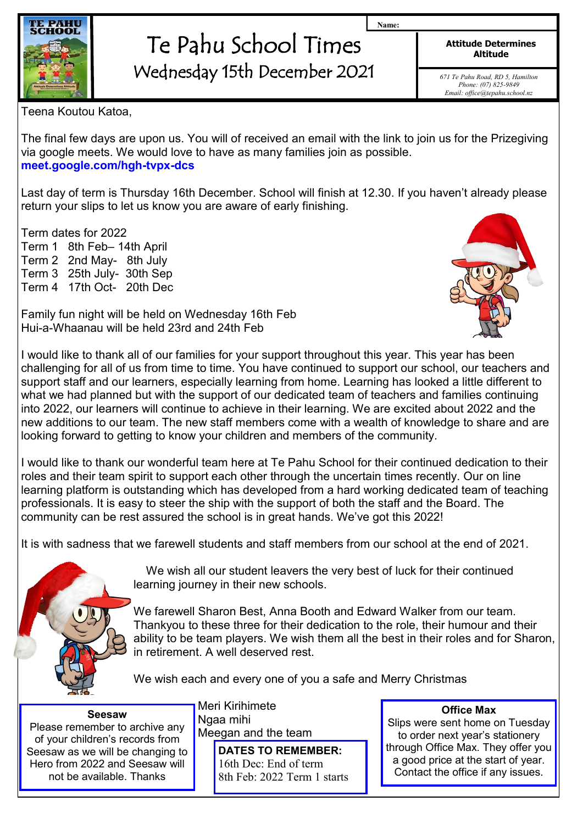

## Te Pahu School Times Wednesday 15th December 2021

**Attitude Determines Altitude**

**Name:**

*671 Te Pahu Road, RD 5, Hamilton Phone: (07) 825-9849 Email: office@tepahu.school.nz*

Teena Koutou Katoa,

The final few days are upon us. You will of received an email with the link to join us for the Prizegiving via google meets. We would love to have as many families join as possible. **meet.google.com/hgh-tvpx-dcs** 

Last day of term is Thursday 16th December. School will finish at 12.30. If you haven't already please return your slips to let us know you are aware of early finishing.

Term dates for 2022

Term 1 8th Feb– 14th April Term 2 2nd May- 8th July Term 3 25th July- 30th Sep Term 4 17th Oct- 20th Dec

Family fun night will be held on Wednesday 16th Feb Hui-a-Whaanau will be held 23rd and 24th Feb



I would like to thank all of our families for your support throughout this year. This year has been challenging for all of us from time to time. You have continued to support our school, our teachers and support staff and our learners, especially learning from home. Learning has looked a little different to what we had planned but with the support of our dedicated team of teachers and families continuing into 2022, our learners will continue to achieve in their learning. We are excited about 2022 and the new additions to our team. The new staff members come with a wealth of knowledge to share and are looking forward to getting to know your children and members of the community.

I would like to thank our wonderful team here at Te Pahu School for their continued dedication to their roles and their team spirit to support each other through the uncertain times recently. Our on line learning platform is outstanding which has developed from a hard working dedicated team of teaching professionals. It is easy to steer the ship with the support of both the staff and the Board. The community can be rest assured the school is in great hands. We've got this 2022!

It is with sadness that we farewell students and staff members from our school at the end of 2021.



We wish all our student leavers the very best of luck for their continued learning journey in their new schools.

We farewell Sharon Best, Anna Booth and Edward Walker from our team. Thankyou to these three for their dedication to the role, their humour and their ability to be team players. We wish them all the best in their roles and for Sharon, in retirement. A well deserved rest.

We wish each and every one of you a safe and Merry Christmas

**Seesaw** Please remember to archive any of your children's records from Seesaw as we will be changing to Hero from 2022 and Seesaw will not be available. Thanks

Meri Kirihimete Ngaa mihi Meegan and the team

> **DATES TO REMEMBER:** 16th Dec: End of term 8th Feb: 2022 Term 1 starts

**Office Max** Slips were sent home on Tuesday to order next year's stationery through Office Max. They offer you a good price at the start of year. Contact the office if any issues.